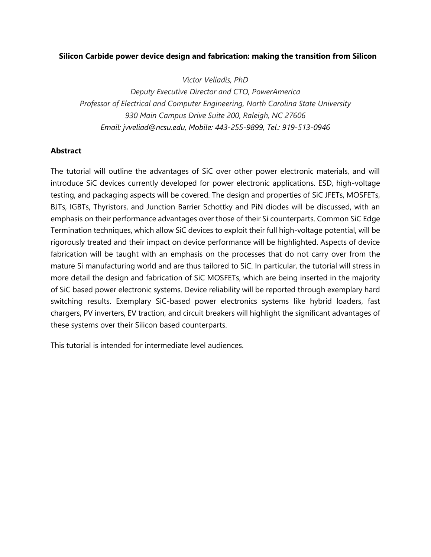## **Silicon Carbide power device design and fabrication: making the transition from Silicon**

*Victor Veliadis, PhD*

*Deputy Executive Director and CTO, PowerAmerica Professor of Electrical and Computer Engineering, North Carolina State University 930 Main Campus Drive Suite 200, Raleigh, NC 27606 Email: jvveliad@ncsu.edu, Mobile: 443-255-9899, Tel.: 919-513-0946*

## **Abstract**

The tutorial will outline the advantages of SiC over other power electronic materials, and will introduce SiC devices currently developed for power electronic applications. ESD, high-voltage testing, and packaging aspects will be covered. The design and properties of SiC JFETs, MOSFETs, BJTs, IGBTs, Thyristors, and Junction Barrier Schottky and PiN diodes will be discussed, with an emphasis on their performance advantages over those of their Si counterparts. Common SiC Edge Termination techniques, which allow SiC devices to exploit their full high-voltage potential, will be rigorously treated and their impact on device performance will be highlighted. Aspects of device fabrication will be taught with an emphasis on the processes that do not carry over from the mature Si manufacturing world and are thus tailored to SiC. In particular, the tutorial will stress in more detail the design and fabrication of SiC MOSFETs, which are being inserted in the majority of SiC based power electronic systems. Device reliability will be reported through exemplary hard switching results. Exemplary SiC-based power electronics systems like hybrid loaders, fast chargers, PV inverters, EV traction, and circuit breakers will highlight the significant advantages of these systems over their Silicon based counterparts.

This tutorial is intended for intermediate level audiences.